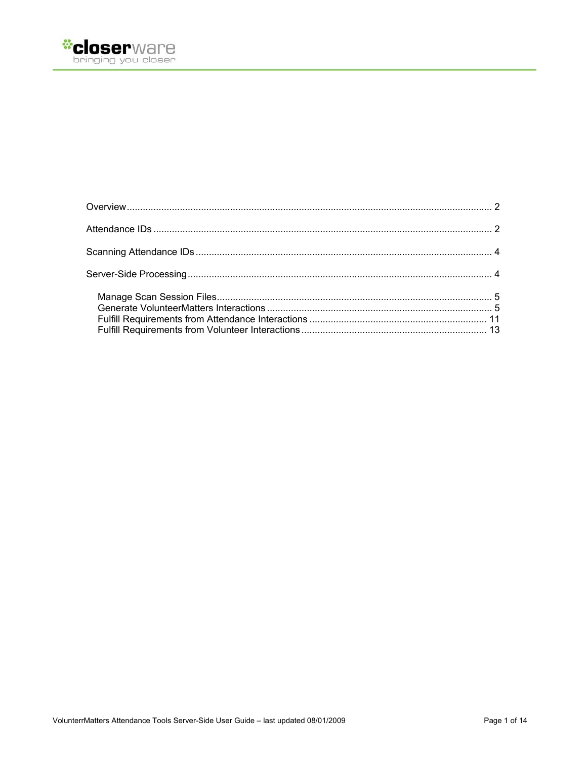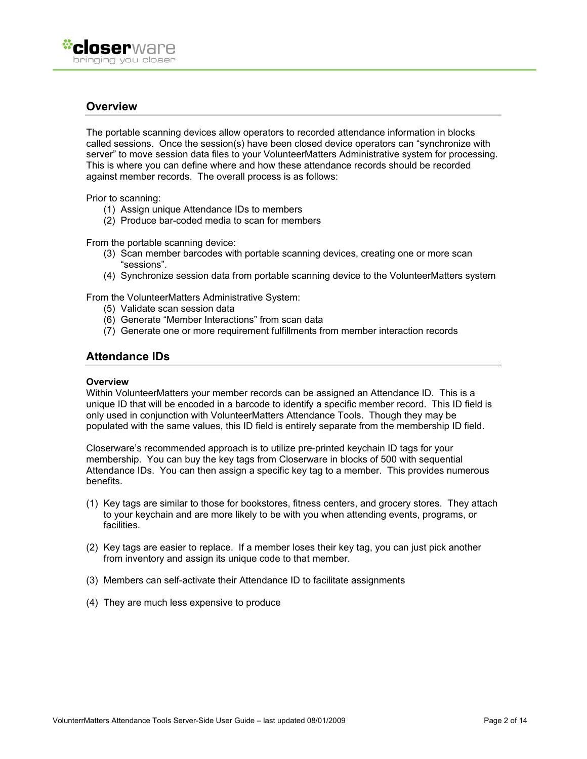

# **Overview**

The portable scanning devices allow operators to recorded attendance information in blocks called sessions. Once the session(s) have been closed device operators can "synchronize with server" to move session data files to your VolunteerMatters Administrative system for processing. This is where you can define where and how these attendance records should be recorded against member records. The overall process is as follows:

Prior to scanning:

- (1) Assign unique Attendance IDs to members
- (2) Produce bar-coded media to scan for members

From the portable scanning device:

- (3) Scan member barcodes with portable scanning devices, creating one or more scan "sessions".
- (4) Synchronize session data from portable scanning device to the VolunteerMatters system

From the VolunteerMatters Administrative System:

- (5) Validate scan session data
- (6) Generate "Member Interactions" from scan data
- (7) Generate one or more requirement fulfillments from member interaction records

# **Attendance IDs**

## **Overview**

Within VolunteerMatters your member records can be assigned an Attendance ID. This is a unique ID that will be encoded in a barcode to identify a specific member record. This ID field is only used in conjunction with VolunteerMatters Attendance Tools. Though they may be populated with the same values, this ID field is entirely separate from the membership ID field.

Closerware's recommended approach is to utilize pre-printed keychain ID tags for your membership. You can buy the key tags from Closerware in blocks of 500 with sequential Attendance IDs. You can then assign a specific key tag to a member. This provides numerous benefits.

- (1) Key tags are similar to those for bookstores, fitness centers, and grocery stores. They attach to your keychain and are more likely to be with you when attending events, programs, or facilities.
- (2) Key tags are easier to replace. If a member loses their key tag, you can just pick another from inventory and assign its unique code to that member.
- (3) Members can self-activate their Attendance ID to facilitate assignments
- (4) They are much less expensive to produce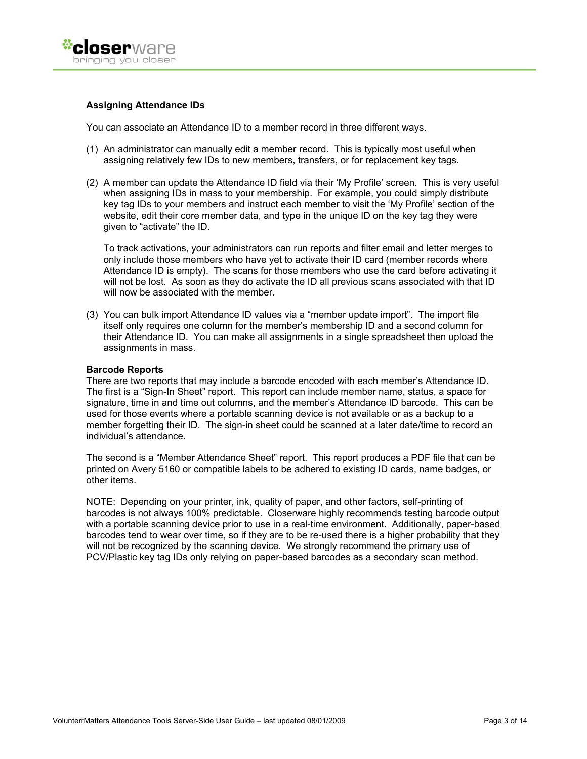

# **Assigning Attendance IDs**

You can associate an Attendance ID to a member record in three different ways.

- (1) An administrator can manually edit a member record. This is typically most useful when assigning relatively few IDs to new members, transfers, or for replacement key tags.
- (2) A member can update the Attendance ID field via their 'My Profile' screen. This is very useful when assigning IDs in mass to your membership. For example, you could simply distribute key tag IDs to your members and instruct each member to visit the 'My Profile' section of the website, edit their core member data, and type in the unique ID on the key tag they were given to "activate" the ID.

To track activations, your administrators can run reports and filter email and letter merges to only include those members who have yet to activate their ID card (member records where Attendance ID is empty). The scans for those members who use the card before activating it will not be lost. As soon as they do activate the ID all previous scans associated with that ID will now be associated with the member.

(3) You can bulk import Attendance ID values via a "member update import". The import file itself only requires one column for the member's membership ID and a second column for their Attendance ID. You can make all assignments in a single spreadsheet then upload the assignments in mass.

## **Barcode Reports**

There are two reports that may include a barcode encoded with each member's Attendance ID. The first is a "Sign-In Sheet" report. This report can include member name, status, a space for signature, time in and time out columns, and the member's Attendance ID barcode. This can be used for those events where a portable scanning device is not available or as a backup to a member forgetting their ID. The sign-in sheet could be scanned at a later date/time to record an individual's attendance.

The second is a "Member Attendance Sheet" report. This report produces a PDF file that can be printed on Avery 5160 or compatible labels to be adhered to existing ID cards, name badges, or other items.

NOTE: Depending on your printer, ink, quality of paper, and other factors, self-printing of barcodes is not always 100% predictable. Closerware highly recommends testing barcode output with a portable scanning device prior to use in a real-time environment. Additionally, paper-based barcodes tend to wear over time, so if they are to be re-used there is a higher probability that they will not be recognized by the scanning device. We strongly recommend the primary use of PCV/Plastic key tag IDs only relying on paper-based barcodes as a secondary scan method.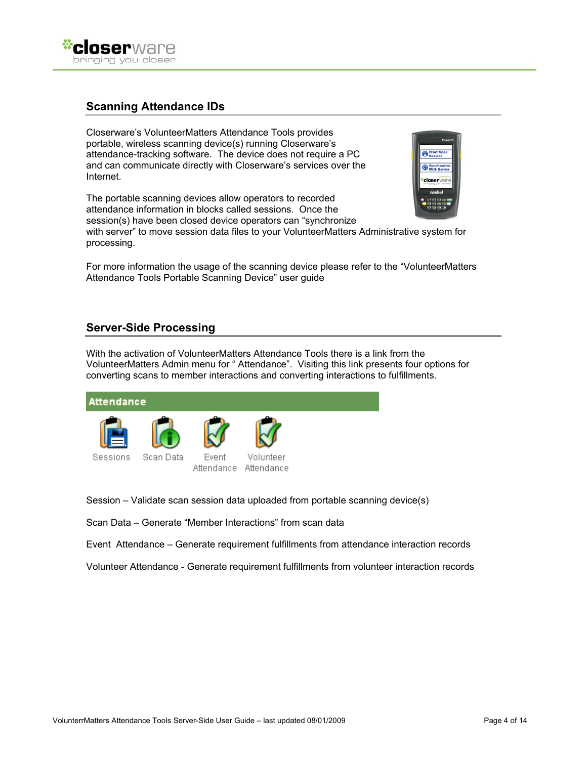

# **Scanning Attendance IDs**

Closerware's VolunteerMatters Attendance Tools provides portable, wireless scanning device(s) running Closerware's attendance-tracking software. The device does not require a PC and can communicate directly with Closerware's services over the Internet.

The portable scanning devices allow operators to recorded attendance information in blocks called sessions. Once the session(s) have been closed device operators can "synchronize



with server" to move session data files to your VolunteerMatters Administrative system for processing.

For more information the usage of the scanning device please refer to the "VolunteerMatters Attendance Tools Portable Scanning Device" user guide

# **Server-Side Processing**

With the activation of VolunteerMatters Attendance Tools there is a link from the VolunteerMatters Admin menu for " Attendance". Visiting this link presents four options for converting scans to member interactions and converting interactions to fulfillments.



Session – Validate scan session data uploaded from portable scanning device(s)

Scan Data – Generate "Member Interactions" from scan data

Event Attendance – Generate requirement fulfillments from attendance interaction records

Volunteer Attendance - Generate requirement fulfillments from volunteer interaction records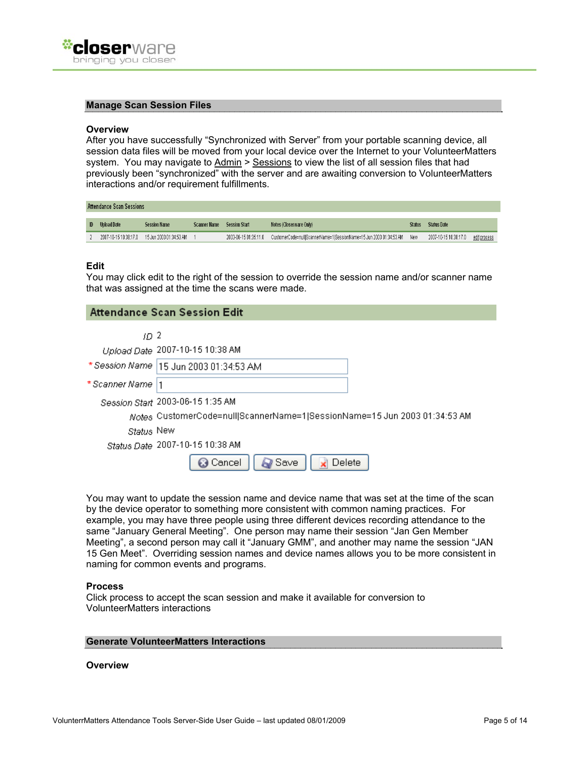

#### **Manage Scan Session Files**

#### **Overview**

After you have successfully "Synchronized with Server" from your portable scanning device, all session data files will be moved from your local device over the Internet to your VolunteerMatters system. You may navigate to Admin > Sessions to view the list of all session files that had previously been "synchronized" with the server and are awaiting conversion to VolunteerMatters interactions and/or requirement fulfillments.

| <b>Attendance Scan Sessions</b> |                         |                     |                       |                                                                         |        |                       |              |  |  |
|---------------------------------|-------------------------|---------------------|-----------------------|-------------------------------------------------------------------------|--------|-----------------------|--------------|--|--|
| <b>ID</b> Upload Date           | <b>Session Name</b>     | <b>Scanner Name</b> | Session Start         | Notes (Closerware Only)                                                 | Status | Status Date           |              |  |  |
|                                 |                         |                     |                       |                                                                         |        |                       |              |  |  |
| 2007-10-15 10:38:17.0           | 15 Jun 2003 01:34:53 AM |                     | 2003-06-15 01:35:11.0 | CustomerCode=null ScannerName=1 SessionName=15 Jun 2003 01:34:53 AM New |        | 2007-10-15 10:38:17.0 | edit process |  |  |

## **Edit**

You may click edit to the right of the session to override the session name and/or scanner name that was assigned at the time the scans were made.

| <b>Attendance Scan Session Edit</b> |                                                                                    |  |  |  |  |  |  |
|-------------------------------------|------------------------------------------------------------------------------------|--|--|--|--|--|--|
| JD 2                                |                                                                                    |  |  |  |  |  |  |
|                                     | Upload Date 2007-10-15 10:38 AM                                                    |  |  |  |  |  |  |
|                                     | * Session Name   15 Jun 2003 01:34:53 AM                                           |  |  |  |  |  |  |
| * Scanner Name                      |                                                                                    |  |  |  |  |  |  |
|                                     | Session Start 2003-06-15 1:35 AM                                                   |  |  |  |  |  |  |
|                                     | <i>Notes</i> : CustomerCode=null ScannerName=1 SessionName=15 Jun 2003 01:34:53 AM |  |  |  |  |  |  |
| Status New                          |                                                                                    |  |  |  |  |  |  |
|                                     | Status Date 2007-10-15 10:38 AM                                                    |  |  |  |  |  |  |
|                                     | Save<br>Cancel<br>Delete                                                           |  |  |  |  |  |  |

You may want to update the session name and device name that was set at the time of the scan by the device operator to something more consistent with common naming practices. For example, you may have three people using three different devices recording attendance to the same "January General Meeting". One person may name their session "Jan Gen Member Meeting", a second person may call it "January GMM", and another may name the session "JAN 15 Gen Meet". Overriding session names and device names allows you to be more consistent in naming for common events and programs.

## **Process**

Click process to accept the scan session and make it available for conversion to VolunteerMatters interactions

#### **Generate VolunteerMatters Interactions**

#### **Overview**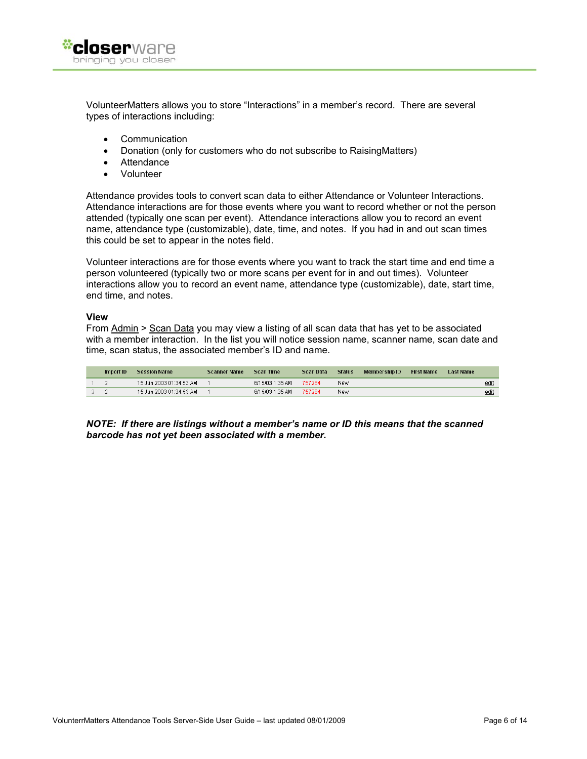

VolunteerMatters allows you to store "Interactions" in a member's record. There are several types of interactions including:

- Communication
- Donation (only for customers who do not subscribe to RaisingMatters)
- Attendance
- Volunteer

Attendance provides tools to convert scan data to either Attendance or Volunteer Interactions. Attendance interactions are for those events where you want to record whether or not the person attended (typically one scan per event). Attendance interactions allow you to record an event name, attendance type (customizable), date, time, and notes. If you had in and out scan times this could be set to appear in the notes field.

Volunteer interactions are for those events where you want to track the start time and end time a person volunteered (typically two or more scans per event for in and out times). Volunteer interactions allow you to record an event name, attendance type (customizable), date, start time, end time, and notes.

## **View**

From Admin > Scan Data you may view a listing of all scan data that has yet to be associated with a member interaction. In the list you will notice session name, scanner name, scan date and time, scan status, the associated member's ID and name.

| import ID | <b>Session Name</b>                               | <b>Scanner Name</b> | <b>Scan Time</b> | Scan Data | <b>Status</b> | Membership ID | <b>First Name</b> | <b>Last Name</b> |      |
|-----------|---------------------------------------------------|---------------------|------------------|-----------|---------------|---------------|-------------------|------------------|------|
|           | 15 Jun 2003 01:34:53 AM                           |                     | 6/15/03 1:35 AM  | 757284    | New           |               |                   |                  | edit |
|           | $\backslash$ 15 Jun 2003 01:34:53 AM $\backslash$ |                     | 6/15/03 1:35 AM  | 757284    | New           |               |                   |                  | edit |

*NOTE: If there are listings without a member's name or ID this means that the scanned barcode has not yet been associated with a member.*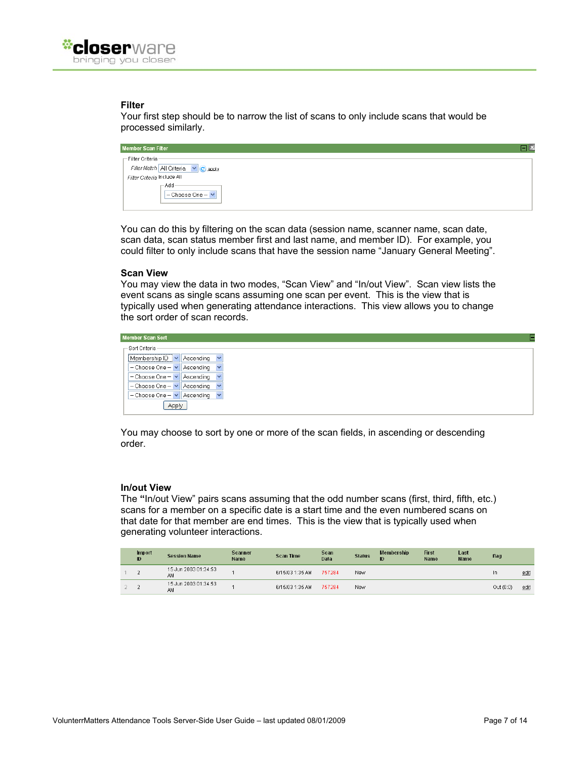

## **Filter**

Your first step should be to narrow the list of scans to only include scans that would be processed similarly.

| Member Scan Filter                                                  |  |
|---------------------------------------------------------------------|--|
| - Filter Criteria<br>Filter Match All Criteria<br>$\mathbf C$ apply |  |
| Filter Criteria Include All                                         |  |
| $-Add -$<br>$-$ Choose One $ \vee$                                  |  |

You can do this by filtering on the scan data (session name, scanner name, scan date, scan data, scan status member first and last name, and member ID). For example, you could filter to only include scans that have the session name "January General Meeting".

## **Scan View**

You may view the data in two modes, "Scan View" and "In/out View". Scan view lists the event scans as single scans assuming one scan per event. This is the view that is typically used when generating attendance interactions. This view allows you to change the sort order of scan records.



You may choose to sort by one or more of the scan fields, in ascending or descending order.

## **In/out View**

The **"**In/out View" pairs scans assuming that the odd number scans (first, third, fifth, etc.) scans for a member on a specific date is a start time and the even numbered scans on that date for that member are end times. This is the view that is typically used when generating volunteer interactions.

| Import<br>ID | <b>Session Name</b>        | <b>Scanner</b><br><b>Name</b> | <b>Scan Time</b> | <b>Scan</b><br>Data | <b>Status</b> | Membership<br>ID | <b>First</b><br><b>Name</b> | Last<br><b>Name</b> | flag     |      |
|--------------|----------------------------|-------------------------------|------------------|---------------------|---------------|------------------|-----------------------------|---------------------|----------|------|
|              | 15 Jun 2003 01:34:53<br>AM |                               | 6/15/03 1:35 AM  | 757284              | New           |                  |                             |                     | In       | edit |
|              | 15 Jun 2003 01:34:53<br>AM |                               | 6/15/03 1:35 AM  | 757284              | New           |                  |                             |                     | Out(0:0) | edit |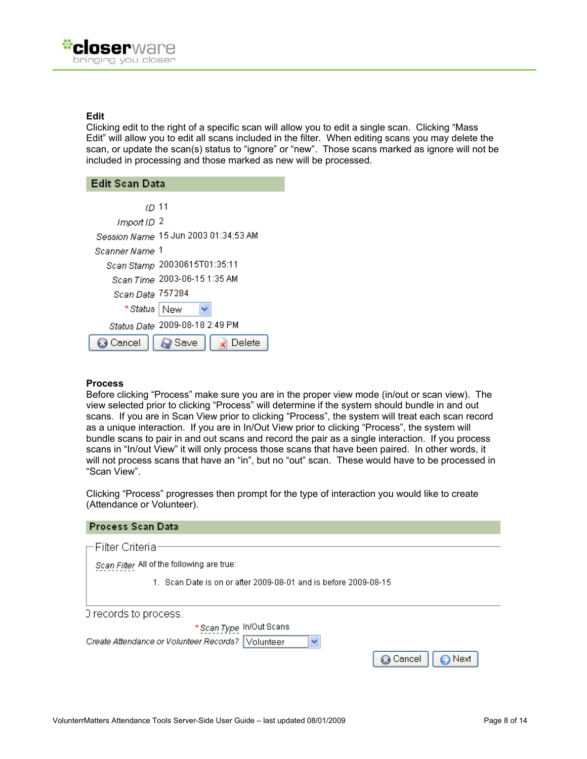

# **Edit**

Clicking edit to the right of a specific scan will allow you to edit a single scan. Clicking "Mass Edit" will allow you to edit all scans included in the filter. When editing scans you may delete the scan, or update the scan(s) status to "ignore" or "new". Those scans marked as ignore will not be included in processing and those marked as new will be processed.

| Edit Scan Data   |                                      |
|------------------|--------------------------------------|
| 11 מו            |                                      |
| Import ID-2      |                                      |
|                  | Session Name 15 Jun 2003 01:34:53 AM |
| Scanner Name, 1  |                                      |
|                  | Scan Stamp 20030615T01:35:11         |
|                  | Scan Time 2003-06-15 1:35 AM         |
| Scan Data 757284 |                                      |
| * Status   New   |                                      |
|                  | Status Date 2009-08-18 2:49 PM       |
| Cancel           | <b>Save</b><br>Delete                |

## **Process**

Before clicking "Process" make sure you are in the proper view mode (in/out or scan view). The view selected prior to clicking "Process" will determine if the system should bundle in and out scans. If you are in Scan View prior to clicking "Process", the system will treat each scan record as a unique interaction. If you are in In/Out View prior to clicking "Process", the system will bundle scans to pair in and out scans and record the pair as a single interaction. If you process scans in "In/out View" it will only process those scans that have been paired. In other words, it will not process scans that have an "in", but no "out" scan. These would have to be processed in "Scan View".

Clicking "Process" progresses then prompt for the type of interaction you would like to create (Attendance or Volunteer).

| <b>Process Scan Data</b>                                        |
|-----------------------------------------------------------------|
| Filter Criteria-                                                |
| Scan Filter All of the following are true:                      |
| 1. Scan Date is on or after 2009-08-01 and is before 2009-08-15 |
| 0 records to process.                                           |
| * Scan Type In/Out Scans                                        |
| Create Attendance or Volunteer Records? [Volunteer              |
| Cancel<br>Next                                                  |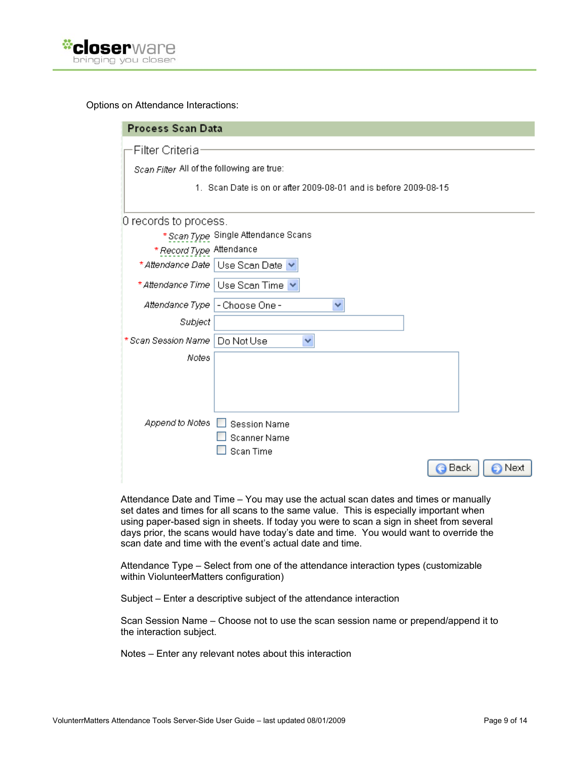

Options on Attendance Interactions:

| <b>Process Scan Data</b>                   |                                                                 |
|--------------------------------------------|-----------------------------------------------------------------|
| Filter Criteria <sup>.</sup>               |                                                                 |
| Scan Filter All of the following are true: |                                                                 |
|                                            | 1. Scan Date is on or after 2009-08-01 and is before 2009-08-15 |
| 0 records to process.                      |                                                                 |
|                                            | * Scan Type Single Attendance Scans                             |
| * Record Type Attendance                   |                                                                 |
| * Attendance Date   Use Scan Date          |                                                                 |
|                                            | * Attendance Time   Use Scan Time   v                           |
| Attendance Type   - Choose One -           |                                                                 |
| Subject                                    |                                                                 |
| * Scan Session Name                        | Do Not Use<br>٧                                                 |
| Notes                                      |                                                                 |
|                                            |                                                                 |
|                                            |                                                                 |
| Append to Notes                            | $\Box$ Session Name                                             |
|                                            | <b>Scanner Name</b>                                             |
|                                            | Scan Time                                                       |
|                                            | Back<br>Next<br>G                                               |

Attendance Date and Time – You may use the actual scan dates and times or manually set dates and times for all scans to the same value. This is especially important when using paper-based sign in sheets. If today you were to scan a sign in sheet from several days prior, the scans would have today's date and time. You would want to override the scan date and time with the event's actual date and time.

Attendance Type – Select from one of the attendance interaction types (customizable within ViolunteerMatters configuration)

Subject – Enter a descriptive subject of the attendance interaction

Scan Session Name – Choose not to use the scan session name or prepend/append it to the interaction subject.

Notes – Enter any relevant notes about this interaction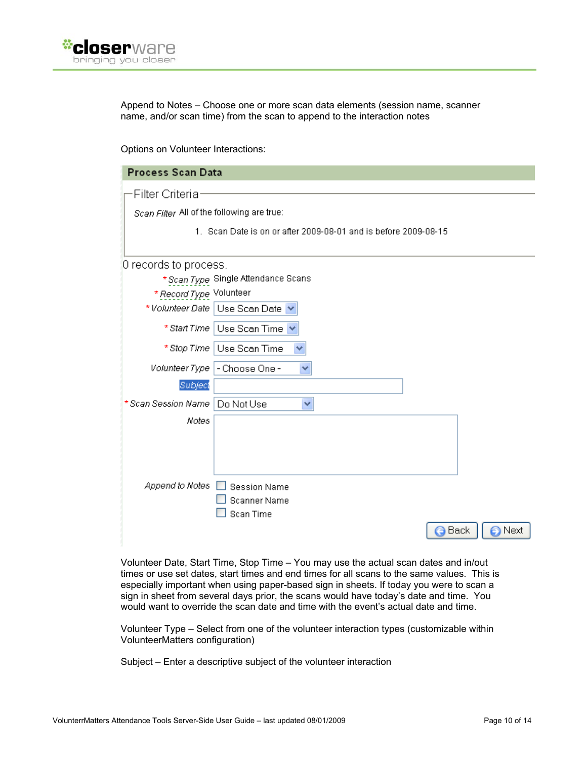Append to Notes – Choose one or more scan data elements (session name, scanner name, and/or scan time) from the scan to append to the interaction notes

Options on Volunteer Interactions:

| <b>Process Scan Data</b>                   |                                                                 |
|--------------------------------------------|-----------------------------------------------------------------|
| Filter Criteria                            |                                                                 |
| Scan Filter All of the following are true: |                                                                 |
|                                            | 1. Scan Date is on or after 2009-08-01 and is before 2009-08-15 |
| 0 records to process.                      |                                                                 |
|                                            | * Scan Type Single Attendance Scans                             |
| * Record Type Volunteer                    |                                                                 |
| * Volunteer Date                           | Use Scan Date                                                   |
| * Start Time                               | Use Scan Time                                                   |
| * Stop Time                                | Use Scan Time<br>٧                                              |
| Volunteer Type                             | - Choose One -<br>v                                             |
| Subject                                    |                                                                 |
| * Scan Session Name                        | Do Not Use<br>×                                                 |
| Notes                                      |                                                                 |
| Append to Notes                            | $\Box$ Session Name<br><b>Scanner Name</b><br>Scan Time         |
|                                            | Back<br>Next<br>a                                               |

Volunteer Date, Start Time, Stop Time – You may use the actual scan dates and in/out times or use set dates, start times and end times for all scans to the same values. This is especially important when using paper-based sign in sheets. If today you were to scan a sign in sheet from several days prior, the scans would have today's date and time. You would want to override the scan date and time with the event's actual date and time.

Volunteer Type – Select from one of the volunteer interaction types (customizable within VolunteerMatters configuration)

Subject – Enter a descriptive subject of the volunteer interaction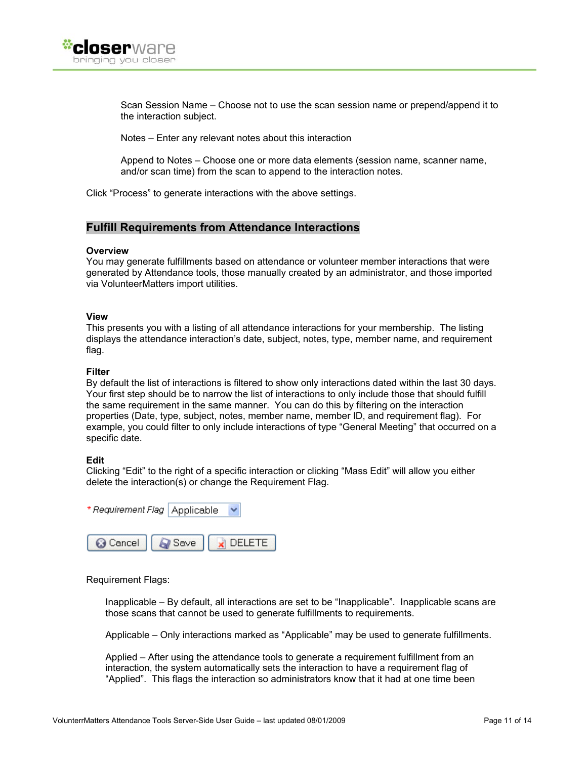

Scan Session Name – Choose not to use the scan session name or prepend/append it to the interaction subject.

Notes – Enter any relevant notes about this interaction

Append to Notes – Choose one or more data elements (session name, scanner name, and/or scan time) from the scan to append to the interaction notes.

Click "Process" to generate interactions with the above settings.

# **Fulfill Requirements from Attendance Interactions**

## **Overview**

You may generate fulfillments based on attendance or volunteer member interactions that were generated by Attendance tools, those manually created by an administrator, and those imported via VolunteerMatters import utilities.

#### **View**

This presents you with a listing of all attendance interactions for your membership. The listing displays the attendance interaction's date, subject, notes, type, member name, and requirement flag.

#### **Filter**

By default the list of interactions is filtered to show only interactions dated within the last 30 days. Your first step should be to narrow the list of interactions to only include those that should fulfill the same requirement in the same manner. You can do this by filtering on the interaction properties (Date, type, subject, notes, member name, member ID, and requirement flag). For example, you could filter to only include interactions of type "General Meeting" that occurred on a specific date.

#### **Edit**

Clicking "Edit" to the right of a specific interaction or clicking "Mass Edit" will allow you either delete the interaction(s) or change the Requirement Flag.

| *Requirement Flag   Applicable |  |
|--------------------------------|--|
|                                |  |
| G Cancel   2 Save   x DELETE   |  |

Requirement Flags:

Inapplicable – By default, all interactions are set to be "Inapplicable". Inapplicable scans are those scans that cannot be used to generate fulfillments to requirements.

Applicable – Only interactions marked as "Applicable" may be used to generate fulfillments.

Applied – After using the attendance tools to generate a requirement fulfillment from an interaction, the system automatically sets the interaction to have a requirement flag of "Applied". This flags the interaction so administrators know that it had at one time been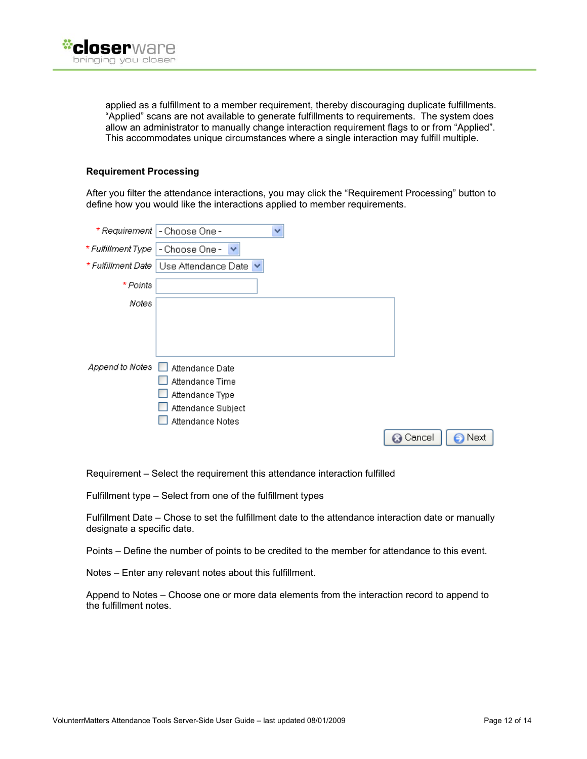

applied as a fulfillment to a member requirement, thereby discouraging duplicate fulfillments. "Applied" scans are not available to generate fulfillments to requirements. The system does allow an administrator to manually change interaction requirement flags to or from "Applied". This accommodates unique circumstances where a single interaction may fulfill multiple.

## **Requirement Processing**

After you filter the attendance interactions, you may click the "Requirement Processing" button to define how you would like the interactions applied to member requirements.

| * Requirement      | - Choose One -<br>v        |      |
|--------------------|----------------------------|------|
| * Fulfillment Type | - Choose One -<br>×        |      |
| * Fulfillment Date | Use Attendance Date $\vee$ |      |
| * Points           |                            |      |
| Notes              |                            |      |
|                    |                            |      |
|                    |                            |      |
|                    |                            |      |
| Append to Notes    | Attendance Date            |      |
|                    | Attendance Time            |      |
|                    | Attendance Type            |      |
|                    | Attendance Subject         |      |
|                    | <b>Attendance Notes</b>    |      |
|                    | <b>@</b> Cancel            | Next |

Requirement – Select the requirement this attendance interaction fulfilled

Fulfillment type – Select from one of the fulfillment types

Fulfillment Date – Chose to set the fulfillment date to the attendance interaction date or manually designate a specific date.

Points – Define the number of points to be credited to the member for attendance to this event.

Notes – Enter any relevant notes about this fulfillment.

Append to Notes – Choose one or more data elements from the interaction record to append to the fulfillment notes.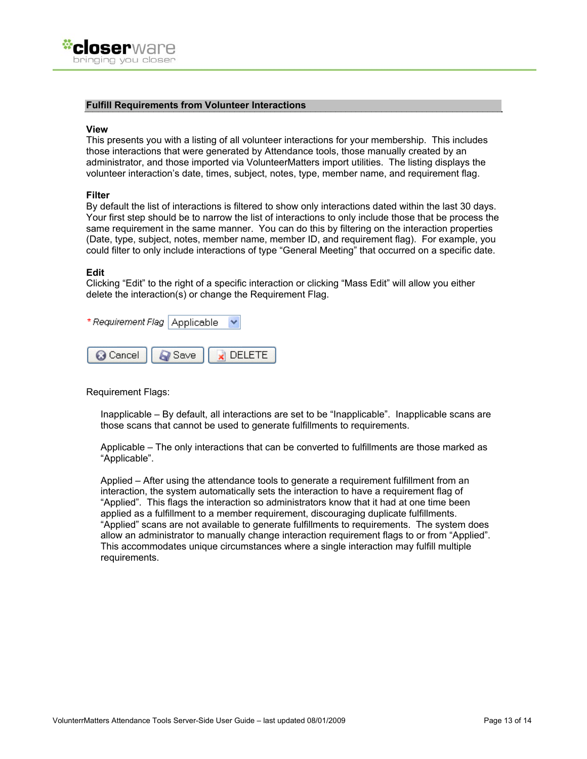#### **Fulfill Requirements from Volunteer Interactions**

#### **View**

This presents you with a listing of all volunteer interactions for your membership. This includes those interactions that were generated by Attendance tools, those manually created by an administrator, and those imported via VolunteerMatters import utilities. The listing displays the volunteer interaction's date, times, subject, notes, type, member name, and requirement flag.

#### **Filter**

By default the list of interactions is filtered to show only interactions dated within the last 30 days. Your first step should be to narrow the list of interactions to only include those that be process the same requirement in the same manner. You can do this by filtering on the interaction properties (Date, type, subject, notes, member name, member ID, and requirement flag). For example, you could filter to only include interactions of type "General Meeting" that occurred on a specific date.

#### **Edit**

Clicking "Edit" to the right of a specific interaction or clicking "Mass Edit" will allow you either delete the interaction(s) or change the Requirement Flag.

| *Requirement Flag   Applicable |  |
|--------------------------------|--|
|                                |  |
| C Cancel   2 Save   x DELETE   |  |

Requirement Flags:

Inapplicable – By default, all interactions are set to be "Inapplicable". Inapplicable scans are those scans that cannot be used to generate fulfillments to requirements.

Applicable – The only interactions that can be converted to fulfillments are those marked as "Applicable".

Applied – After using the attendance tools to generate a requirement fulfillment from an interaction, the system automatically sets the interaction to have a requirement flag of "Applied". This flags the interaction so administrators know that it had at one time been applied as a fulfillment to a member requirement, discouraging duplicate fulfillments. "Applied" scans are not available to generate fulfillments to requirements. The system does allow an administrator to manually change interaction requirement flags to or from "Applied". This accommodates unique circumstances where a single interaction may fulfill multiple requirements.